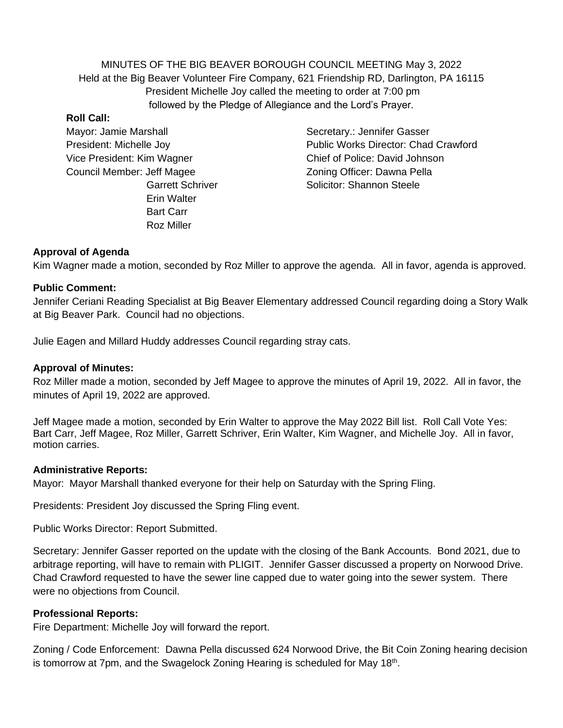MINUTES OF THE BIG BEAVER BOROUGH COUNCIL MEETING May 3, 2022 Held at the Big Beaver Volunteer Fire Company, 621 Friendship RD, Darlington, PA 16115 President Michelle Joy called the meeting to order at 7:00 pm followed by the Pledge of Allegiance and the Lord's Prayer.

#### **Roll Call:**

Mayor: Jamie Marshall Secretary.: Jennifer Gasser Vice President: Kim Wagner Chief of Police: David Johnson Council Member: Jeff Magee Zoning Officer: Dawna Pella Erin Walter Bart Carr Roz Miller

President: Michelle Joy Public Works Director: Chad Crawford Garrett Schriver Solicitor: Shannon Steele

# **Approval of Agenda**

Kim Wagner made a motion, seconded by Roz Miller to approve the agenda. All in favor, agenda is approved.

### **Public Comment:**

Jennifer Ceriani Reading Specialist at Big Beaver Elementary addressed Council regarding doing a Story Walk at Big Beaver Park. Council had no objections.

Julie Eagen and Millard Huddy addresses Council regarding stray cats.

## **Approval of Minutes:**

Roz Miller made a motion, seconded by Jeff Magee to approve the minutes of April 19, 2022. All in favor, the minutes of April 19, 2022 are approved.

Jeff Magee made a motion, seconded by Erin Walter to approve the May 2022 Bill list. Roll Call Vote Yes: Bart Carr, Jeff Magee, Roz Miller, Garrett Schriver, Erin Walter, Kim Wagner, and Michelle Joy. All in favor, motion carries.

### **Administrative Reports:**

Mayor: Mayor Marshall thanked everyone for their help on Saturday with the Spring Fling.

Presidents: President Joy discussed the Spring Fling event.

Public Works Director: Report Submitted.

Secretary: Jennifer Gasser reported on the update with the closing of the Bank Accounts. Bond 2021, due to arbitrage reporting, will have to remain with PLIGIT. Jennifer Gasser discussed a property on Norwood Drive. Chad Crawford requested to have the sewer line capped due to water going into the sewer system. There were no objections from Council.

### **Professional Reports:**

Fire Department: Michelle Joy will forward the report.

Zoning / Code Enforcement: Dawna Pella discussed 624 Norwood Drive, the Bit Coin Zoning hearing decision is tomorrow at 7pm, and the Swagelock Zoning Hearing is scheduled for May 18<sup>th</sup>.